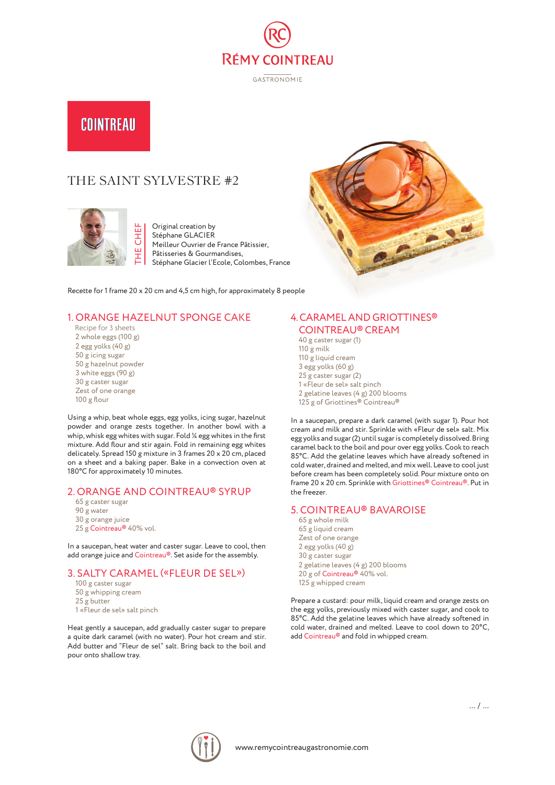

**GASTRONOMIE** 

# COINTREAU

# THE SAINT SYLVESTRE #2



Original creation by Stéphane GLACIER Meilleur Ouvrier de France Pâtissier, Pâtisseries & Gourmandises, Stéphane Glacier l'Ecole, Colombes, France

Recette for 1 frame 20 x 20 cm and 4,5 cm high, for approximately 8 people

# 1. ORANGE HAZELNUT SPONGE CAKE

 Recipe for 3 sheets 2 whole eggs (100 g) 2 egg yolks (40 g) 50 g icing sugar 50 g hazelnut powder 3 white eggs (90 g) 30 g caster sugar Zest of one orange 100 g flour

Using a whip, beat whole eggs, egg yolks, icing sugar, hazelnut powder and orange zests together. In another bowl with a whip, whisk egg whites with sugar. Fold ¼ egg whites in the first mixture. Add flour and stir again. Fold in remaining egg whites delicately. Spread 150 g mixture in 3 frames 20 x 20 cm, placed on a sheet and a baking paper. Bake in a convection oven at 180°C for approximately 10 minutes.

#### 2. ORANGE AND COINTREAU® SYRUP

- 65 g caster sugar
- 90 g water
- 30 g orange juice
- 25 g Cointreau® 40% vol.

In a saucepan, heat water and caster sugar. Leave to cool, then add orange juice and Cointreau®. Set aside for the assembly.

#### 3. SALTY CARAMEL («FLEUR DE SEL»)

100 g caster sugar 50 g whipping cream 25 g butter 1 «Fleur de sel» salt pinch

Heat gently a saucepan, add gradually caster sugar to prepare a quite dark caramel (with no water). Pour hot cream and stir. Add butter and "Fleur de sel" salt. Bring back to the boil and pour onto shallow tray.

# 4. CARAMEL AND GRIOTTINES® COINTREAU® CREAM

BA

40 g caster sugar (1) 110 g milk 110 g liquid cream 3 egg yolks (60 g) 25 g caster sugar (2) 1 «Fleur de sel» salt pinch 2 gelatine leaves (4 g) 200 blooms 125 g of Griottines® Cointreau®

In a saucepan, prepare a dark caramel (with sugar 1). Pour hot cream and milk and stir. Sprinkle with «Fleur de sel» salt. Mix egg yolks and sugar (2) until sugar is completely dissolved. Bring caramel back to the boil and pour over egg yolks. Cook to reach 85°C. Add the gelatine leaves which have already softened in cold water, drained and melted, and mix well. Leave to cool just before cream has been completely solid. Pour mixture onto on frame 20 x 20 cm. Sprinkle with Griottines® Cointreau®. Put in the freezer.

### 5. COINTREAU® BAVAROISE

65 g whole milk 65 g liquid cream Zest of one orange 2 egg yolks (40 g) 30 g caster sugar 2 gelatine leaves (4 g) 200 blooms 20 g of Cointreau® 40% vol. 125 g whipped cream

Prepare a custard: pour milk, liquid cream and orange zests on the egg yolks, previously mixed with caster sugar, and cook to 85°C. Add the gelatine leaves which have already softened in cold water, drained and melted. Leave to cool down to 20°C, add Cointreau® and fold in whipped cream.